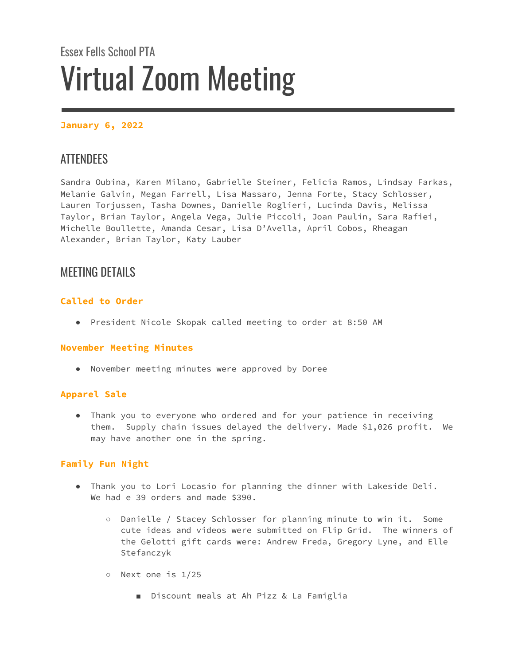# Essex Fells School PTA Virtual Zoom Meeting

# **January 6, 2022**

# **ATTENDEES**

Sandra Oubina, Karen Milano, Gabrielle Steiner, Felicia Ramos, Lindsay Farkas, Melanie Galvin, Megan Farrell, Lisa Massaro, Jenna Forte, Stacy Schlosser, Lauren Torjussen, Tasha Downes, Danielle Roglieri, Lucinda Davis, Melissa Taylor, Brian Taylor, Angela Vega, Julie Piccoli, Joan Paulin, Sara Rafiei, Michelle Boullette, Amanda Cesar, Lisa D'Avella, April Cobos, Rheagan Alexander, Brian Taylor, Katy Lauber

# MEETING DETAILS

# **Called to Order**

● President Nicole Skopak called meeting to order at 8:50 AM

### **November Meeting Minutes**

● November meeting minutes were approved by Doree

# **Apparel Sale**

● Thank you to everyone who ordered and for your patience in receiving them. Supply chain issues delayed the delivery. Made \$1,026 profit. We may have another one in the spring.

# **Family Fun Night**

- Thank you to Lori Locasio for planning the dinner with Lakeside Deli. We had e 39 orders and made \$390.
	- Danielle / Stacey Schlosser for planning minute to win it. Some cute ideas and videos were submitted on Flip Grid. The winners of the Gelotti gift cards were: Andrew Freda, Gregory Lyne, and Elle Stefanczyk
	- Next one is 1/25
		- Discount meals at Ah Pizz & La Famiglia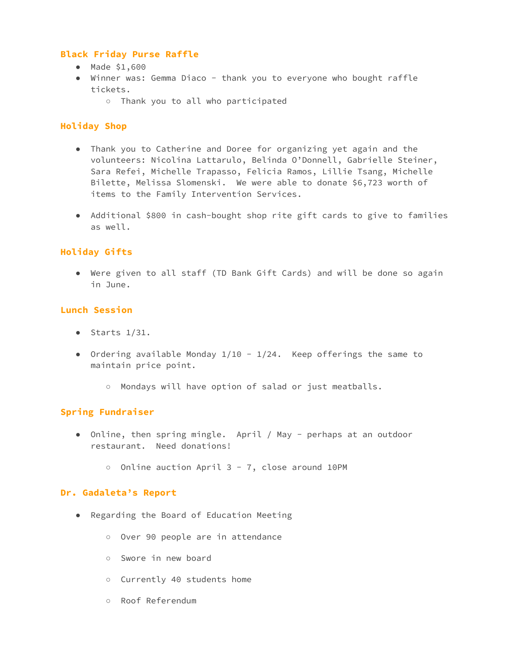#### **Black Friday Purse Raffle**

- Made \$1,600
- Winner was: Gemma Diaco thank you to everyone who bought raffle tickets.
	- Thank you to all who participated

### **Holiday Shop**

- Thank you to Catherine and Doree for organizing yet again and the volunteers: Nicolina Lattarulo, Belinda O'Donnell, Gabrielle Steiner, Sara Refei, Michelle Trapasso, Felicia Ramos, Lillie Tsang, Michelle Bilette, Melissa Slomenski. We were able to donate \$6,723 worth of items to the Family Intervention Services.
- Additional \$800 in cash-bought shop rite gift cards to give to families as well.

## **Holiday Gifts**

● Were given to all staff (TD Bank Gift Cards) and will be done so again in June.

### **Lunch Session**

- $\bullet$  Starts 1/31.
- Ordering available Monday  $1/10 1/24$ . Keep offerings the same to maintain price point.
	- Mondays will have option of salad or just meatballs.

### **Spring Fundraiser**

- Online, then spring mingle. April / May perhaps at an outdoor restaurant. Need donations!
	- Online auction April 3 7, close around 10PM

#### **Dr. Gadaleta's Report**

- Regarding the Board of Education Meeting
	- Over 90 people are in attendance
	- Swore in new board
	- Currently 40 students home
	- Roof Referendum